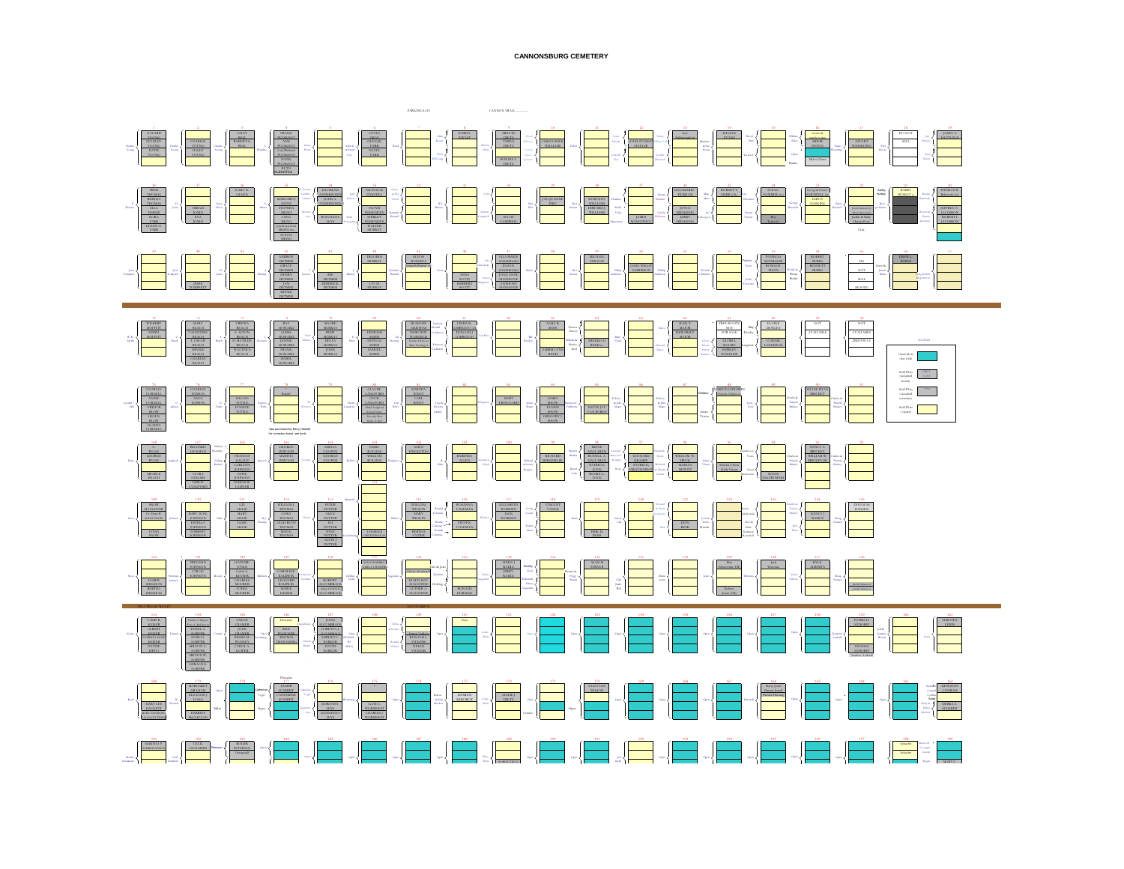

## **CANNONSBURG CEMETERY**